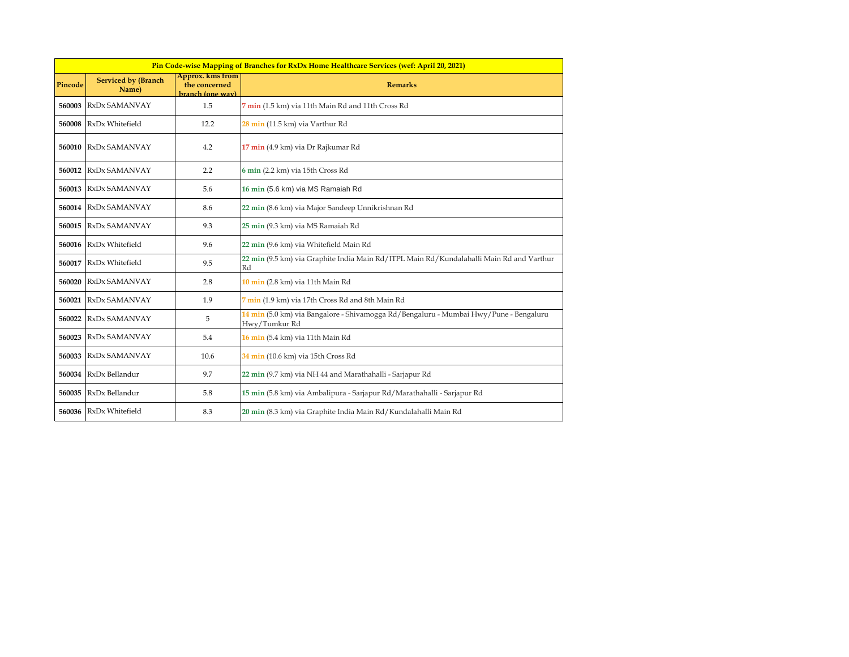| Pin Code-wise Mapping of Branches for RxDx Home Healthcare Services (wef: April 20, 2021) |                                     |                                                              |                                                                                                        |  |
|-------------------------------------------------------------------------------------------|-------------------------------------|--------------------------------------------------------------|--------------------------------------------------------------------------------------------------------|--|
| Pincode                                                                                   | <b>Serviced by (Branch</b><br>Name) | <b>Approx.</b> kms from<br>the concerned<br>branch (one way) | <b>Remarks</b>                                                                                         |  |
| 560003                                                                                    | RxDx SAMANVAY                       | 1.5                                                          | 7 min (1.5 km) via 11th Main Rd and 11th Cross Rd                                                      |  |
| 560008                                                                                    | RxDx Whitefield                     | 12.2                                                         | 28 min (11.5 km) via Varthur Rd                                                                        |  |
| 560010                                                                                    | RxDx SAMANVAY                       | 4.2                                                          | 17 min (4.9 km) via Dr Rajkumar Rd                                                                     |  |
| 560012                                                                                    | RxDx SAMANVAY                       | 2.2                                                          | 6 min (2.2 km) via 15th Cross Rd                                                                       |  |
| 560013                                                                                    | RxDx SAMANVAY                       | 5.6                                                          | 16 min (5.6 km) via MS Ramaiah Rd                                                                      |  |
|                                                                                           | 560014 RxDx SAMANVAY                | 8.6                                                          | 22 min (8.6 km) via Major Sandeep Unnikrishnan Rd                                                      |  |
| 560015                                                                                    | RxDx SAMANVAY                       | 9.3                                                          | 25 min (9.3 km) via MS Ramaiah Rd                                                                      |  |
| 560016                                                                                    | RxDx Whitefield                     | 9.6                                                          | 22 min (9.6 km) via Whitefield Main Rd                                                                 |  |
| 560017                                                                                    | RxDx Whitefield                     | 9.5                                                          | 22 min (9.5 km) via Graphite India Main Rd/ITPL Main Rd/Kundalahalli Main Rd and Varthur<br>Rd         |  |
| 560020                                                                                    | RxDx SAMANVAY                       | 2.8                                                          | 10 min (2.8 km) via 11th Main Rd                                                                       |  |
| 560021                                                                                    | RxDx SAMANVAY                       | 1.9                                                          | 7 min (1.9 km) via 17th Cross Rd and 8th Main Rd                                                       |  |
| 560022                                                                                    | RxDx SAMANVAY                       | 5                                                            | 14 min (5.0 km) via Bangalore - Shivamogga Rd/Bengaluru - Mumbai Hwy/Pune - Bengaluru<br>Hwy/Tumkur Rd |  |
| 560023                                                                                    | RxDx SAMANVAY                       | 5.4                                                          | 16 min (5.4 km) via 11th Main Rd                                                                       |  |
| 560033                                                                                    | RxDx SAMANVAY                       | 10.6                                                         | 34 min (10.6 km) via 15th Cross Rd                                                                     |  |
|                                                                                           | 560034 RxDx Bellandur               | 9.7                                                          | 22 min (9.7 km) via NH 44 and Marathahalli - Sarjapur Rd                                               |  |
| 560035                                                                                    | RxDx Bellandur                      | 5.8                                                          | 15 min (5.8 km) via Ambalipura - Sarjapur Rd/Marathahalli - Sarjapur Rd                                |  |
| 560036                                                                                    | RxDx Whitefield                     | 8.3                                                          | 20 min (8.3 km) via Graphite India Main Rd/Kundalahalli Main Rd                                        |  |